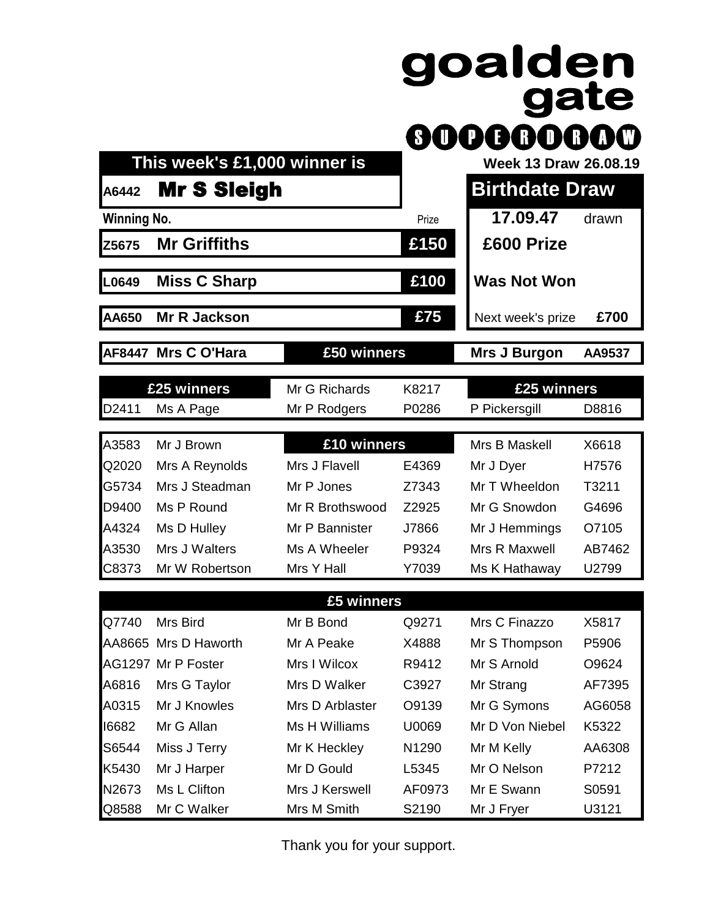| A6442       | This week's £1,000 winner is<br><b>Mr S Sleigh</b> |                 |       | goalden<br>gate<br>80000000<br><b>Week 13 Draw 26.08.19</b><br><b>Birthdate Draw</b> |        |
|-------------|----------------------------------------------------|-----------------|-------|--------------------------------------------------------------------------------------|--------|
| Winning No. |                                                    |                 | Prize | 17.09.47                                                                             | drawn  |
| Z5675       | <b>Mr Griffiths</b>                                |                 | £150  | £600 Prize                                                                           |        |
| L0649       | <b>Miss C Sharp</b>                                |                 | £100  | <b>Was Not Won</b>                                                                   |        |
| AA650       | <b>Mr R Jackson</b>                                |                 | £75   | Next week's prize                                                                    | £700   |
|             | AF8447 Mrs C O'Hara                                | £50 winners     |       | <b>Mrs J Burgon</b>                                                                  | AA9537 |
|             | £25 winners                                        | Mr G Richards   | K8217 | £25 winners                                                                          |        |
| D2411       | Ms A Page                                          | Mr P Rodgers    | P0286 | P Pickersgill                                                                        | D8816  |
|             |                                                    |                 |       |                                                                                      |        |
| A3583       | Mr J Brown                                         | £10 winners     |       | Mrs B Maskell                                                                        | X6618  |
| Q2020       | Mrs A Reynolds                                     | Mrs J Flavell   | E4369 | Mr J Dyer                                                                            | H7576  |
| G5734       | Mrs J Steadman                                     | Mr P Jones      | Z7343 | Mr T Wheeldon                                                                        | T3211  |
| D9400       | Ms P Round                                         | Mr R Brothswood | Z2925 | Mr G Snowdon                                                                         | G4696  |
| A4324       | Ms D Hulley                                        | Mr P Bannister  | J7866 | Mr J Hemmings                                                                        | O7105  |
| A3530       | Mrs J Walters                                      | Ms A Wheeler    | P9324 | Mrs R Maxwell                                                                        | AB7462 |
| C8373       | Mr W Robertson                                     | Mrs Y Hall      | Y7039 | Ms K Hathaway                                                                        | U2799  |
|             |                                                    | £5 winners      |       |                                                                                      |        |
| Q7740       | Mrs Bird                                           | Mr B Bond       | Q9271 | Mrs C Finazzo                                                                        | X5817  |
|             | AA8665 Mrs D Haworth                               | Mr A Peake      | X4888 | Mr S Thompson                                                                        | P5906  |
|             | AG1297 Mr P Foster                                 | Mrs I Wilcox    | R9412 | Mr S Arnold                                                                          | O9624  |
| A6816       | Mrs G Taylor                                       | Mrs D Walker    | C3927 | Mr Strang                                                                            | AF7395 |
| A0315       | Mr J Knowles                                       | Mrs D Arblaster | O9139 | Mr G Symons                                                                          | AG6058 |
| 16682       | Mr G Allan                                         | Ms H Williams   | U0069 | Mr D Von Niebel                                                                      | K5322  |
| S6544       | Miss J Terry                                       | Mr K Heckley    | N1290 | Mr M Kelly                                                                           | AA6308 |
| K5430       | Mr J Harper                                        | Mr D Gould      | L5345 | Mr O Nelson                                                                          | P7212  |

 $\mathbf l$ 

Thank you for your support.

N2673 Ms L Clifton Mrs J Kerswell AF0973 Mr E Swann S0591 Q8588 Mr C Walker Mrs M Smith S2190 Mr J Fryer U3121